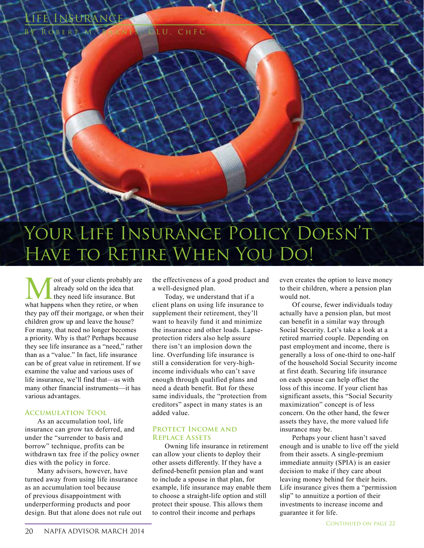

**M** ost of your clients probably are already sold on the idea that they need life insurance. But what happens when they retire, or when already sold on the idea that they need life insurance. But they pay off their mortgage, or when their children grow up and leave the house? For many, that need no longer becomes a priority. Why is that? Perhaps because they see life insurance as a "need," rather than as a "value." In fact, life insurance can be of great value in retirement. If we examine the value and various uses of life insurance, we'll find that—as with many other financial instruments—it has various advantages.

**LNSURANC** 

OBERT M. BARNES, CLU, CHFC

### **Accumulation Tool**

As an accumulation tool, life insurance can grow tax deferred, and under the "surrender to basis and borrow" technique, profits can be withdrawn tax free if the policy owner dies with the policy in force.

Many advisors, however, have turned away from using life insurance as an accumulation tool because of previous disappointment with underperforming products and poor design. But that alone does not rule out

the effectiveness of a good product and a well-designed plan.

Today, we understand that if a client plans on using life insurance to supplement their retirement, they'll want to heavily fund it and minimize the insurance and other loads. Lapseprotection riders also help assure there isn't an implosion down the line. Overfunding life insurance is still a consideration for very-highincome individuals who can't save enough through qualified plans and need a death benefit. But for these same individuals, the "protection from creditors" aspect in many states is an added value.

### **Protect Income and Replace Assets**

Owning life insurance in retirement can allow your clients to deploy their other assets differently. If they have a defined-benefit pension plan and want to include a spouse in that plan, for example, life insurance may enable them to choose a straight-life option and still protect their spouse. This allows them to control their income and perhaps

even creates the option to leave money to their children, where a pension plan would not.

Of course, fewer individuals today actually have a pension plan, but most can benefit in a similar way through Social Security. Let's take a look at a retired married couple. Depending on past employment and income, there is generally a loss of one-third to one-half of the household Social Security income at first death. Securing life insurance on each spouse can help offset the loss of this income. If your client has significant assets, this "Social Security maximization" concept is of less concern. On the other hand, the fewer assets they have, the more valued life insurance may be.

Perhaps your client hasn't saved enough and is unable to live off the yield from their assets. A single-premium immediate annuity (SPIA) is an easier decision to make if they care about leaving money behind for their heirs. Life insurance gives them a "permission slip" to annuitize a portion of their investments to increase income and guarantee it for life.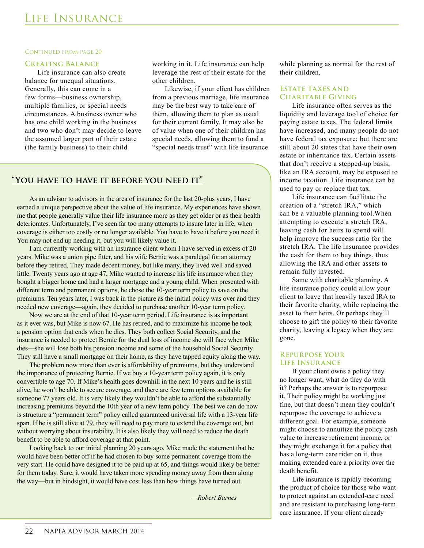#### CONTINUED FROM PAGE 20

#### **Creating Balance**

Life insurance can also create balance for unequal situations. Generally, this can come in a few forms—business ownership, multiple families, or special needs circumstances. A business owner who has one child working in the business and two who don't may decide to leave the assumed larger part of their estate (the family business) to their child

working in it. Life insurance can help leverage the rest of their estate for the other children.

Likewise, if your client has children from a previous marriage, life insurance may be the best way to take care of them, allowing them to plan as usual for their current family. It may also be of value when one of their children has special needs, allowing them to fund a "special needs trust" with life insurance

# **"You have to have it before you need it"**

As an advisor to advisors in the area of insurance for the last 20-plus years, I have earned a unique perspective about the value of life insurance. My experiences have shown me that people generally value their life insurance more as they get older or as their health deteriorates. Unfortunately, I've seen far too many attempts to insure later in life, when coverage is either too costly or no longer available. You have to have it before you need it. You may not end up needing it, but you will likely value it.

I am currently working with an insurance client whom I have served in excess of 20 years. Mike was a union pipe fitter, and his wife Bernie was a paralegal for an attorney before they retired. They made decent money, but like many, they lived well and saved little. Twenty years ago at age 47, Mike wanted to increase his life insurance when they bought a bigger home and had a larger mortgage and a young child. When presented with different term and permanent options, he chose the 10-year term policy to save on the premiums. Ten years later, I was back in the picture as the initial policy was over and they needed new coverage—again, they decided to purchase another 10-year term policy.

Now we are at the end of that 10-year term period. Life insurance is as important as it ever was, but Mike is now 67. He has retired, and to maximize his income he took a pension option that ends when he dies. They both collect Social Security, and the insurance is needed to protect Bernie for the dual loss of income she will face when Mike dies—she will lose both his pension income and some of the household Social Security. They still have a small mortgage on their home, as they have tapped equity along the way.

The problem now more than ever is affordability of premiums, but they understand the importance of protecting Bernie. If we buy a 10-year term policy again, it is only convertible to age 70. If Mike's health goes downhill in the next 10 years and he is still alive, he won't be able to secure coverage, and there are few term options available for someone 77 years old. It is very likely they wouldn't be able to afford the substantially increasing premiums beyond the 10th year of a new term policy. The best we can do now is structure a "permanent term" policy called guaranteed universal life with a 13-year life span. If he is still alive at 79, they will need to pay more to extend the coverage out, but without worrying about insurability. It is also likely they will need to reduce the death benefit to be able to afford coverage at that point.

Looking back to our initial planning 20 years ago, Mike made the statement that he would have been better off if he had chosen to buy some permanent coverage from the very start. He could have designed it to be paid up at 65, and things would likely be better for them today. Sure, it would have taken more spending money away from them along the way—but in hindsight, it would have cost less than how things have turned out.

 *—Robert Barnes*

while planning as normal for the rest of their children.

## **Estate Taxes and Charitable Giving**

Life insurance often serves as the liquidity and leverage tool of choice for paying estate taxes. The federal limits have increased, and many people do not have federal tax exposure; but there are still about 20 states that have their own estate or inheritance tax. Certain assets that don't receive a stepped-up basis, like an IRA account, may be exposed to income taxation. Life insurance can be used to pay or replace that tax.

Life insurance can facilitate the creation of a "stretch IRA," which can be a valuable planning tool.When attempting to execute a stretch IRA, leaving cash for heirs to spend will help improve the success ratio for the stretch IRA. The life insurance provides the cash for them to buy things, thus allowing the IRA and other assets to remain fully invested.

Same with charitable planning. A life insurance policy could allow your client to leave that heavily taxed IRA to their favorite charity, while replacing the asset to their heirs. Or perhaps they'll choose to gift the policy to their favorite charity, leaving a legacy when they are gone.

#### **Repurpose Your Life Insurance**

If your client owns a policy they no longer want, what do they do with it? Perhaps the answer is to repurpose it. Their policy might be working just fine, but that doesn't mean they couldn't repurpose the coverage to achieve a different goal. For example, someone might choose to annuitize the policy cash value to increase retirement income, or they might exchange it for a policy that has a long-term care rider on it, thus making extended care a priority over the death benefit.

Life insurance is rapidly becoming the product of choice for those who want to protect against an extended-care need and are resistant to purchasing long-term care insurance. If your client already